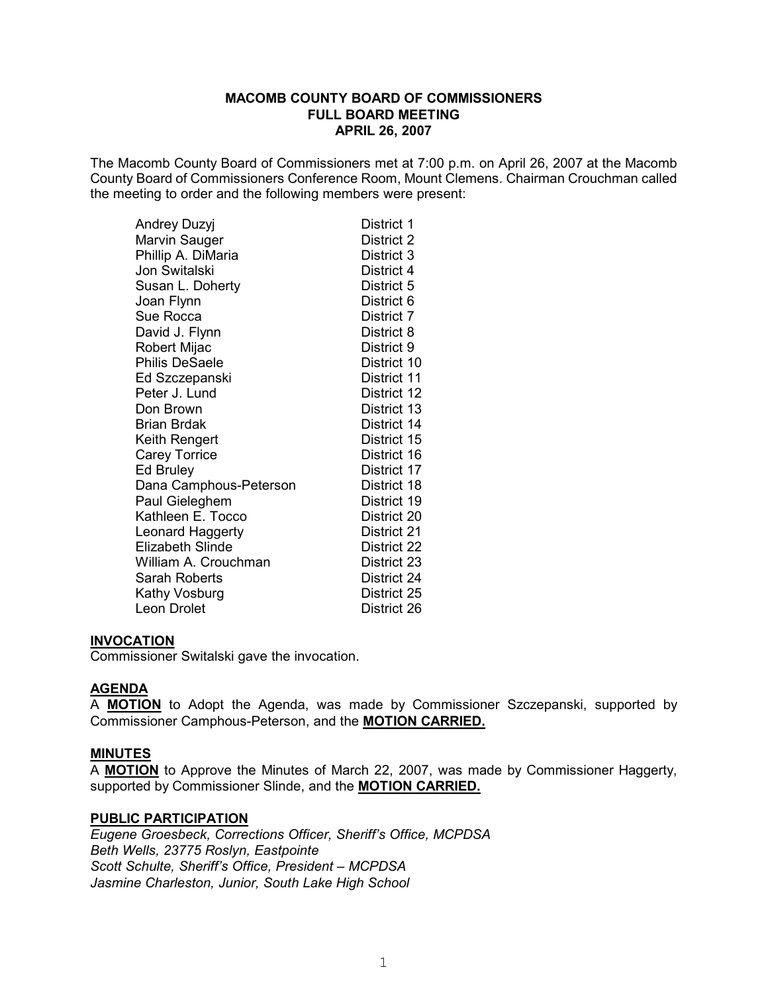### **MACOMB COUNTY BOARD OF COMMISSIONERS FULL BOARD MEETING APRIL 26, 2007**

The Macomb County Board of Commissioners met at 7:00 p.m. on April 26, 2007 at the Macomb County Board of Commissioners Conference Room, Mount Clemens. Chairman Crouchman called the meeting to order and the following members were present:

| <b>Andrey Duzyj</b>     | District 1  |
|-------------------------|-------------|
| Marvin Sauger           | District 2  |
| Phillip A. DiMaria      | District 3  |
| Jon Switalski           | District 4  |
| Susan L. Doherty        | District 5  |
| Joan Flynn              | District 6  |
| Sue Rocca               | District 7  |
| David J. Flynn          | District 8  |
| Robert Mijac            | District 9  |
| <b>Philis DeSaele</b>   | District 10 |
| Ed Szczepanski          | District 11 |
| Peter J. Lund           | District 12 |
| Don Brown               | District 13 |
| Brian Brdak             | District 14 |
| Keith Rengert           | District 15 |
| <b>Carey Torrice</b>    | District 16 |
| <b>Ed Bruley</b>        | District 17 |
| Dana Camphous-Peterson  | District 18 |
| Paul Gieleghem          | District 19 |
| Kathleen E. Tocco       | District 20 |
| Leonard Haggerty        | District 21 |
| <b>Elizabeth Slinde</b> | District 22 |
| William A. Crouchman    | District 23 |
| Sarah Roberts           | District 24 |
| Kathy Vosburg           | District 25 |
| Leon Drolet             | District 26 |

#### **INVOCATION**

Commissioner Switalski gave the invocation.

#### **AGENDA**

A **MOTION** to Adopt the Agenda, was made by Commissioner Szczepanski, supported by **Commissioner Camphous-Peterson, and the MOTION CARRIED.** 

#### **MINUTES**

A **MOTION** to Approve the Minutes of March 22, 2007, was made by Commissioner Haggerty, supported by Commissioner Slinde, and the **MOTION CARRIED.**

#### **PUBLIC PARTICIPATION**

*Eugene Groesbeck, Corrections Officer, Sheriff's Office, MCPDSA Beth Wells, 23775 Roslyn, Eastpointe Scott Schulte, Sheriff's Office, President – MCPDSA Jasmine Charleston, Junior, South Lake High School*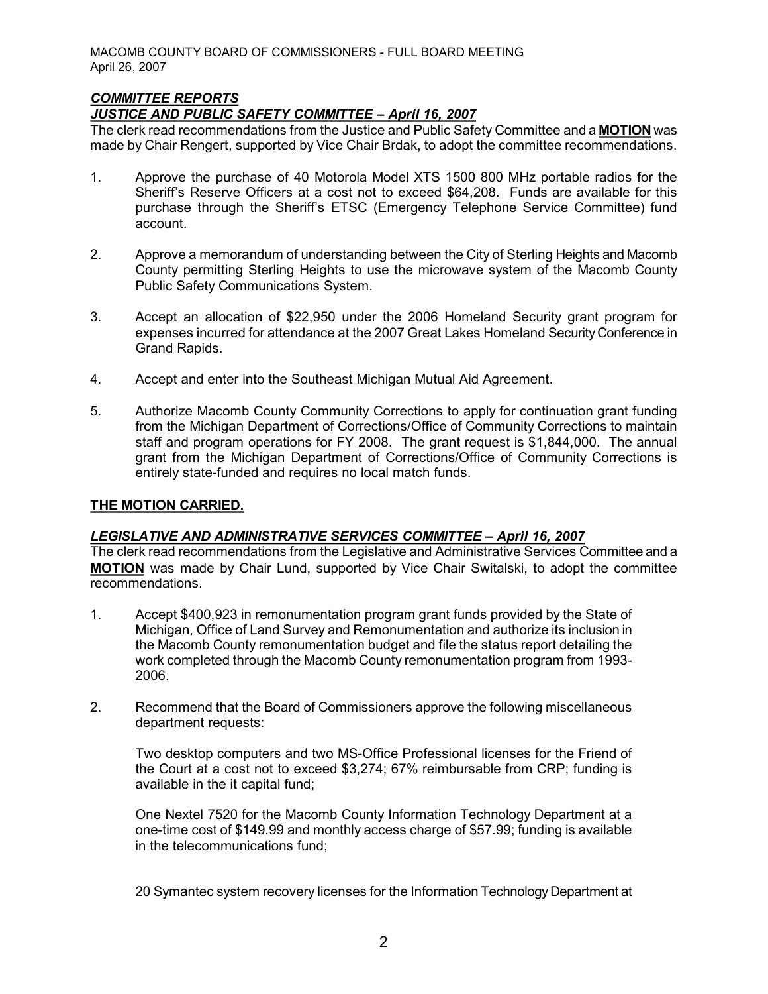## *COMMITTEE REPORTS*

## *JUSTICE AND PUBLIC SAFETY COMMITTEE – April 16, 2007*

The clerk read recommendations from the Justice and Public Safety Committee and a **MOTION** was made by Chair Rengert, supported by Vice Chair Brdak, to adopt the committee recommendations.

- 1. Approve the purchase of 40 Motorola Model XTS 1500 800 MHz portable radios for the Sheriff's Reserve Officers at a cost not to exceed \$64,208. Funds are available for this purchase through the Sheriff's ETSC (Emergency Telephone Service Committee) fund account.
- 2. Approve a memorandum of understanding between the City of Sterling Heights and Macomb County permitting Sterling Heights to use the microwave system of the Macomb County Public Safety Communications System.
- 3. Accept an allocation of \$22,950 under the 2006 Homeland Security grant program for expenses incurred for attendance at the 2007 Great Lakes Homeland Security Conference in Grand Rapids.
- 4. Accept and enter into the Southeast Michigan Mutual Aid Agreement.
- 5. Authorize Macomb County Community Corrections to apply for continuation grant funding from the Michigan Department of Corrections/Office of Community Corrections to maintain staff and program operations for FY 2008. The grant request is \$1,844,000. The annual grant from the Michigan Department of Corrections/Office of Community Corrections is entirely state-funded and requires no local match funds.

## **THE MOTION CARRIED.**

## *LEGISLATIVE AND ADMINISTRATIVE SERVICES COMMITTEE – April 16, 2007*

The clerk read recommendations from the Legislative and Administrative Services Committee and a **MOTION** was made by Chair Lund, supported by Vice Chair Switalski, to adopt the committee recommendations.

- 1. Accept \$400,923 in remonumentation program grant funds provided by the State of Michigan, Office of Land Survey and Remonumentation and authorize its inclusion in the Macomb County remonumentation budget and file the status report detailing the work completed through the Macomb County remonumentation program from 1993 2006.
- 2. Recommend that the Board of Commissioners approve the following miscellaneous department requests:

Two desktop computers and two MS-Office Professional licenses for the Friend of the Court at a cost not to exceed \$3,274; 67% reimbursable from CRP; funding is available in the it capital fund;

One Nextel 7520 for the Macomb County Information Technology Department at a one-time cost of  $$149.99$  and monthly access charge of  $$57.99$ ; funding is available in the telecommunications fund;

20 Symantec system recovery licenses for the Information Technology Department at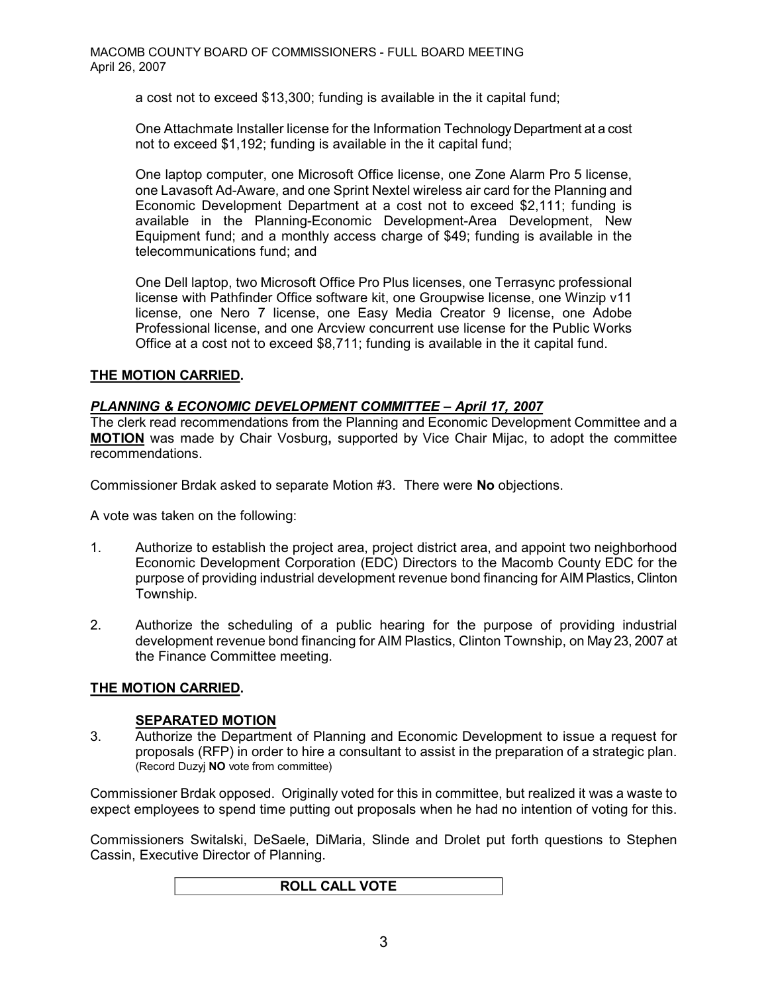a cost not to exceed \$13,300; funding is available in the it capital fund;

One Attachmate Installer license for the Information Technology Department at a cost not to exceed \$1,192; funding is available in the it capital fund;

One laptop computer, one Microsoft Office license, one Zone Alarm Pro 5 license, one Lavasoft Ad-Aware, and one Sprint Nextel wireless air card for the Planning and Economic Development Department at a cost not to exceed \$2,111; funding is available in the Planning-Economic Development-Area Development, New Equipment fund; and a monthly access charge of \$49; funding is available in the telecommunications fund; and

One Dell laptop, two Microsoft Office Pro Plus licenses, one Terrasync professional license with Pathfinder Office software kit, one Groupwise license, one Winzip v11 license, one Nero 7 license, one Easy Media Creator 9 license, one Adobe Professional license, and one Arcview concurrent use license for the Public Works Office at a cost not to exceed \$8,711; funding is available in the it capital fund.

### **THE MOTION CARRIED.**

### *PLANNING & ECONOMIC DEVELOPMENT COMMITTEE – April 17, 2007*

The clerk read recommendations from the Planning and Economic Development Committee and a **MOTION** was made by Chair Vosburg**,** supported by Vice Chair Mijac, to adopt the committee recommendations.

Commissioner Brdak asked to separate Motion #3. There were **No** objections.

A vote was taken on the following:

- 1. Authorize to establish the project area, project district area, and appoint two neighborhood Economic Development Corporation (EDC) Directors to the Macomb County EDC for the purpose of providing industrial development revenue bond financing for AIM Plastics, Clinton Township.
- 2. Authorize the scheduling of a public hearing for the purpose of providing industrial development revenue bond financing for AIM Plastics, Clinton Township, on May 23, 2007 at the Finance Committee meeting.

#### **THE MOTION CARRIED.**

#### **SEPARATED MOTION**

3. Authorize the Department of Planning and Economic Development to issue a request for proposals (RFP) in order to hire a consultant to assist in the preparation of a strategic plan. (Record Duzyj **NO** vote from committee)

Commissioner Brdak opposed. Originally voted for this in committee, but realized it was a waste to expect employees to spend time putting out proposals when he had no intention of voting for this.

Commissioners Switalski, DeSaele, DiMaria, Slinde and Drolet put forth questions to Stephen Cassin, Executive Director of Planning.

**ROLL CALL VOTE**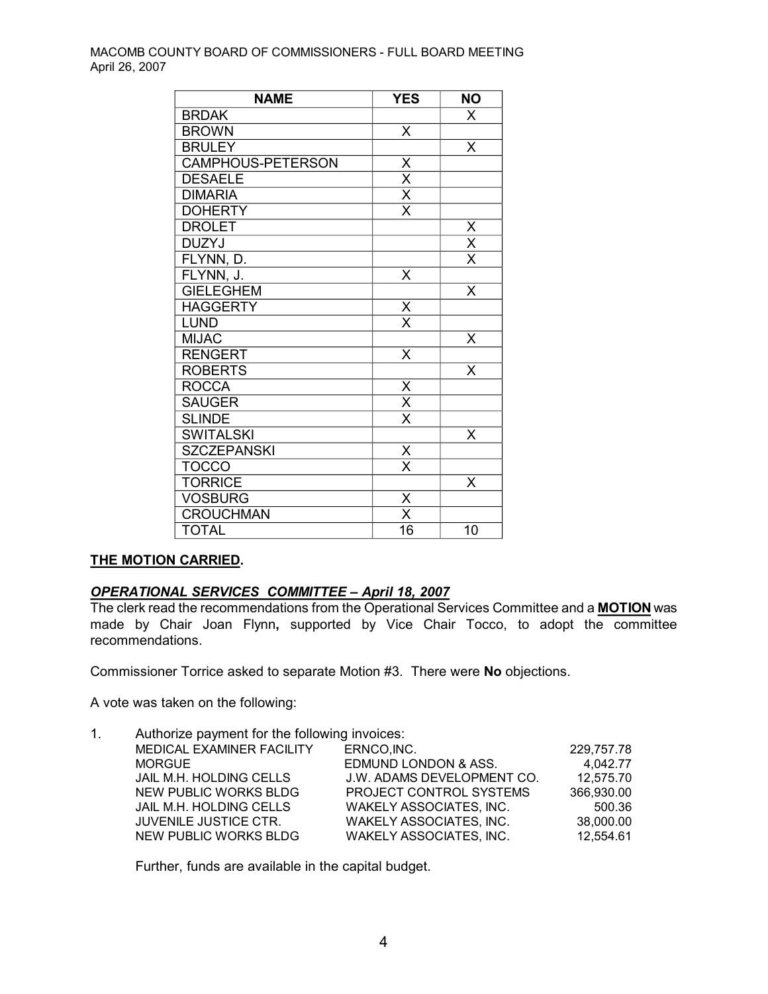| <b>NAME</b>        | <b>YES</b>                      | <b>NO</b>               |
|--------------------|---------------------------------|-------------------------|
| <b>BRDAK</b>       |                                 | X                       |
| <b>BROWN</b>       | X                               |                         |
| <b>BRULEY</b>      |                                 | X                       |
| CAMPHOUS-PETERSON  |                                 |                         |
| <b>DESAELE</b>     | $\frac{X}{X}$ $\frac{X}{X}$     |                         |
| <b>DIMARIA</b>     |                                 |                         |
| <b>DOHERTY</b>     |                                 |                         |
| <b>DROLET</b>      |                                 |                         |
| <b>DUZYJ</b>       |                                 | $\frac{x}{x}}{x}$       |
| FLYNN, D.          |                                 |                         |
| FLYNN, J.          | X                               |                         |
| <b>GIELEGHEM</b>   |                                 | $\overline{\mathsf{X}}$ |
| <b>HAGGERTY</b>    | $\frac{\mathsf{x}}{\mathsf{x}}$ |                         |
| <b>LUND</b>        |                                 |                         |
| <b>MIJAC</b>       |                                 | X                       |
| <b>RENGERT</b>     | X                               |                         |
| <b>ROBERTS</b>     |                                 | X                       |
| <b>ROCCA</b>       |                                 |                         |
| <b>SAUGER</b>      | $\frac{X}{X}$                   |                         |
| <b>SLINDE</b>      |                                 |                         |
| <b>SWITALSKI</b>   |                                 | Х                       |
| <b>SZCZEPANSKI</b> | $\frac{\mathsf{x}}{\mathsf{x}}$ |                         |
| <b>TOCCO</b>       |                                 |                         |
| <b>TORRICE</b>     |                                 | X                       |
| <b>VOSBURG</b>     | $\underline{\mathsf{X}}$        |                         |
| <b>CROUCHMAN</b>   | $\overline{\mathsf{x}}$         |                         |
| <b>TOTAL</b>       | 16                              | 10                      |

## **THE MOTION CARRIED.**

# *OPERATIONAL SERVICES COMMITTEE – April 18, 2007*

The clerk read the recommendations from the Operational Services Committee and a **MOTION** was made by Chair Joan Flynn**,** supported by Vice Chair Tocco, to adopt the committee recommendations.

Commissioner Torrice asked to separate Motion #3. There were **No** objections.

A vote was taken on the following:

1. Authorize payment for the following invoices:

| MEDICAL EXAMINER FACILITY | ERNCO, INC.                | 229.757.78 |  |
|---------------------------|----------------------------|------------|--|
| <b>MORGUE</b>             | EDMUND LONDON & ASS.       | 4,042.77   |  |
| JAIL M.H. HOLDING CELLS   | J.W. ADAMS DEVELOPMENT CO. | 12,575.70  |  |
| NEW PUBLIC WORKS BLDG     | PROJECT CONTROL SYSTEMS    | 366,930.00 |  |
| JAIL M.H. HOLDING CELLS   | WAKELY ASSOCIATES, INC.    | 500.36     |  |
| JUVENILE JUSTICE CTR.     | WAKELY ASSOCIATES, INC.    | 38,000.00  |  |
| NEW PUBLIC WORKS BLDG     | WAKELY ASSOCIATES, INC.    | 12,554.61  |  |
|                           |                            |            |  |

Further, funds are available in the capital budget.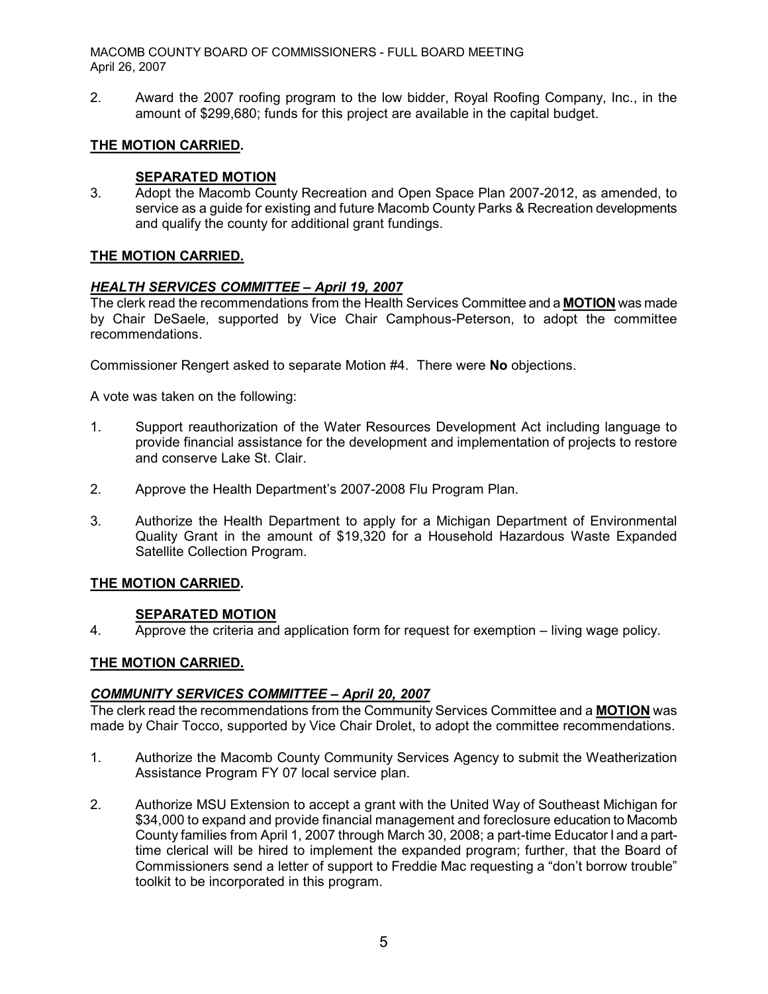MACOMB COUNTY BOARD OF COMMISSIONERS FULL BOARD MEETING April 26, 2007

2. Award the 2007 roofing program to the low bidder, Royal Roofing Company, Inc., in the amount of \$299,680; funds for this project are available in the capital budget.

## **THE MOTION CARRIED.**

## **SEPARATED MOTION**

3. Adopt the Macomb County Recreation and Open Space Plan 2007-2012, as amended, to service as a guide for existing and future Macomb County Parks & Recreation developments and qualify the county for additional grant fundings.

## **THE MOTION CARRIED.**

## *HEALTH SERVICES COMMITTEE – April 19, 2007*

The clerk read the recommendations from the Health Services Committee and a **MOTION** was made by Chair DeSaele, supported by Vice Chair Camphous-Peterson, to adopt the committee recommendations.

Commissioner Rengert asked to separate Motion #4. There were **No** objections.

A vote was taken on the following:

- 1. Support reauthorization of the Water Resources Development Act including language to provide financial assistance for the development and implementation of projects to restore and conserve Lake St. Clair.
- 2. Approve the Health Department's 2007-2008 Flu Program Plan.
- 3. Authorize the Health Department to apply for a Michigan Department of Environmental Quality Grant in the amount of \$19,320 for a Household Hazardous Waste Expanded Satellite Collection Program.

## **THE MOTION CARRIED.**

## **SEPARATED MOTION**

4. Approve the criteria and application form for request for exemption – living wage policy.

## **THE MOTION CARRIED.**

## *COMMUNITY SERVICES COMMITTEE – April 20, 2007*

The clerk read the recommendations from the Community Services Committee and a **MOTION** was made by Chair Tocco, supported by Vice Chair Drolet, to adopt the committee recommendations.

- 1. Authorize the Macomb County Community Services Agency to submit the Weatherization Assistance Program FY 07 local service plan.
- 2. Authorize MSU Extension to accept a grant with the United Way of Southeast Michigan for \$34,000 to expand and provide financial management and foreclosure education to Macomb County families from April 1, 2007 through March 30, 2008; a part-time Educator I and a parttime clerical will be hired to implement the expanded program; further, that the Board of Commissioners send a letter of support to Freddie Mac requesting a "don't borrow trouble" toolkit to be incorporated in this program.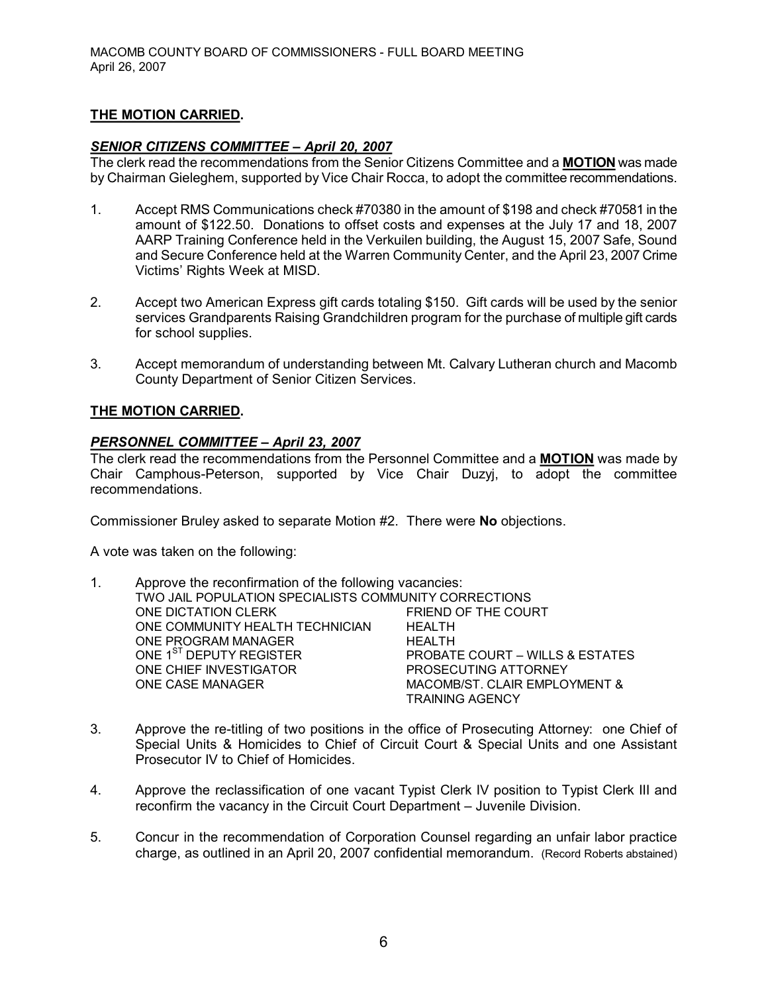### **THE MOTION CARRIED.**

#### *SENIOR CITIZENS COMMITTEE – April 20, 2007*

The clerk read the recommendations from the Senior Citizens Committee and a **MOTION** was made by Chairman Gieleghem, supported by Vice Chair Rocca, to adopt the committee recommendations.

- 1. Accept RMS Communications check #70380 in the amount of \$198 and check #70581 in the amount of \$122.50. Donations to offset costs and expenses at the July 17 and 18, 2007 AARP Training Conference held in the Verkuilen building, the August 15, 2007 Safe, Sound and Secure Conference held at the Warren Community Center, and the April 23, 2007 Crime Victims' Rights Week at MISD.
- 2. Accept two American Express gift cards totaling \$150. Gift cards will be used by the senior services Grandparents Raising Grandchildren program for the purchase of multiple gift cards for school supplies.
- 3. Accept memorandum of understanding between Mt. Calvary Lutheran church and Macomb County Department of Senior Citizen Services.

#### **THE MOTION CARRIED.**

#### *PERSONNEL COMMITTEE – April 23, 2007*

The clerk read the recommendations from the Personnel Committee and a **MOTION** was made by Chair Camphous-Peterson, supported by Vice Chair Duzyj, to adopt the committee recommendations.

Commissioner Bruley asked to separate Motion #2. There were **No** objections.

A vote was taken on the following:

| 1. | Approve the reconfirmation of the following vacancies: |                                                       |  |  |
|----|--------------------------------------------------------|-------------------------------------------------------|--|--|
|    |                                                        | TWO JAIL POPULATION SPECIALISTS COMMUNITY CORRECTIONS |  |  |
|    | ONE DICTATION CLERK                                    | FRIEND OF THE COURT                                   |  |  |
|    | ONE COMMUNITY HEALTH TECHNICIAN                        | <b>HEALTH</b>                                         |  |  |
|    | ONE PROGRAM MANAGER                                    | <b>HEALTH</b>                                         |  |  |
|    | ONE 1 <sup>ST</sup> DEPUTY REGISTER                    | PROBATE COURT - WILLS & ESTATES                       |  |  |
|    | ONE CHIEF INVESTIGATOR                                 | PROSECUTING ATTORNEY                                  |  |  |
|    | <b>ONE CASE MANAGER</b>                                | MACOMB/ST. CLAIR EMPLOYMENT &                         |  |  |
|    |                                                        | <b>TRAINING AGENCY</b>                                |  |  |

- 3. Approve the retitling of two positions in the office of Prosecuting Attorney: one Chief of Special Units & Homicides to Chief of Circuit Court & Special Units and one Assistant Prosecutor IV to Chief of Homicides.
- 4. Approve the reclassification of one vacant Typist Clerk IV position to Typist Clerk III and reconfirm the vacancy in the Circuit Court Department – Juvenile Division.
- 5. Concur in the recommendation of Corporation Counsel regarding an unfair labor practice charge, as outlined in an April 20, 2007 confidential memorandum. (Record Roberts abstained)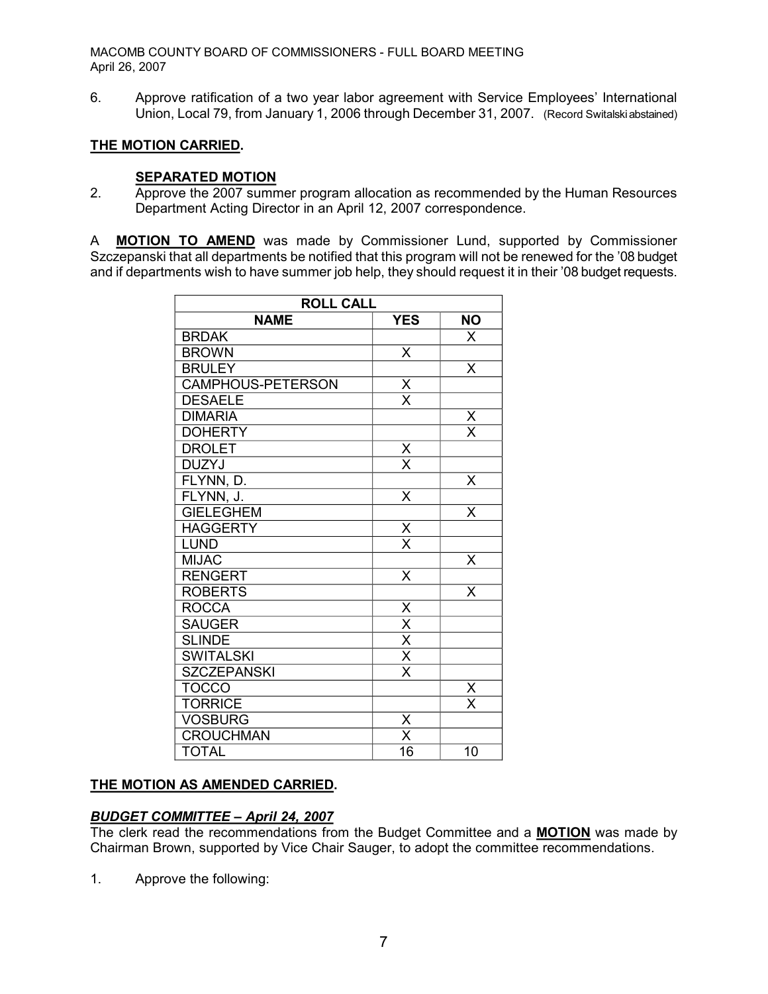MACOMB COUNTY BOARD OF COMMISSIONERS - FULL BOARD MEETING April 26, 2007

6. Approve ratification of a two year labor agreement with Service Employees' International Union, Local 79, from January 1, 2006 through December 31, 2007. (Record Switalskiabstained)

### **THE MOTION CARRIED.**

## **SEPARATED MOTION**

2. Approve the 2007 summer program allocation as recommended by the Human Resources Department Acting Director in an April 12, 2007 correspondence.

A **MOTION TO AMEND** was made by Commissioner Lund, supported by Commissioner Szczepanski that all departments be notified that this program will not be renewed for the '08 budget and if departments wish to have summer job help, they should request it in their '08 budget requests.

| <b>ROLL CALL</b>   |                                           |                         |
|--------------------|-------------------------------------------|-------------------------|
| <b>NAME</b>        | <b>YES</b>                                | <b>NO</b>               |
| <b>BRDAK</b>       |                                           | X                       |
| <b>BROWN</b>       | X                                         |                         |
| <b>BRULEY</b>      |                                           | X                       |
| CAMPHOUS-PETERSON  | $\frac{\mathsf{x}}{\mathsf{x}}$           |                         |
| <b>DESAELE</b>     |                                           |                         |
| <b>DIMARIA</b>     |                                           | $\frac{x}{x}$           |
| <b>DOHERTY</b>     |                                           |                         |
| <b>DROLET</b>      | X                                         |                         |
| <b>DUZYJ</b>       | $\overline{\mathsf{x}}$                   |                         |
| FLYNN, D.          |                                           | X                       |
| FLYNN, J.          | X                                         |                         |
| <b>GIELE GHEM</b>  |                                           | X                       |
| <b>HAGGERTY</b>    | $\frac{\mathsf{x}}{\mathsf{x}}$           |                         |
| <b>LUND</b>        |                                           |                         |
| <b>MIJAC</b>       |                                           | X                       |
| <b>RENGERT</b>     | X                                         |                         |
| <b>ROBERTS</b>     |                                           | $\overline{\mathsf{x}}$ |
| <b>ROCCA</b>       |                                           |                         |
| <b>SAUGER</b>      |                                           |                         |
| <b>SLINDE</b>      | $\frac{X}{X}$ $\frac{X}{X}$ $\frac{X}{X}$ |                         |
| <b>SWITALSKI</b>   |                                           |                         |
| <b>SZCZEPANSKI</b> |                                           |                         |
| <b>TOCCO</b>       |                                           | $\underline{X}$         |
| <b>TORRICE</b>     |                                           | $\overline{\mathsf{x}}$ |
| <b>VOSBURG</b>     | X                                         |                         |
| <b>CROUCHMAN</b>   | $\overline{\mathsf{x}}$                   |                         |
| <b>TOTAL</b>       | 16                                        | 10                      |

## **THE MOTION AS AMENDED CARRIED.**

## *BUDGET COMMITTEE – April 24, 2007*

The clerk read the recommendations from the Budget Committee and a **MOTION** was made by Chairman Brown, supported by Vice Chair Sauger, to adopt the committee recommendations.

1. Approve the following: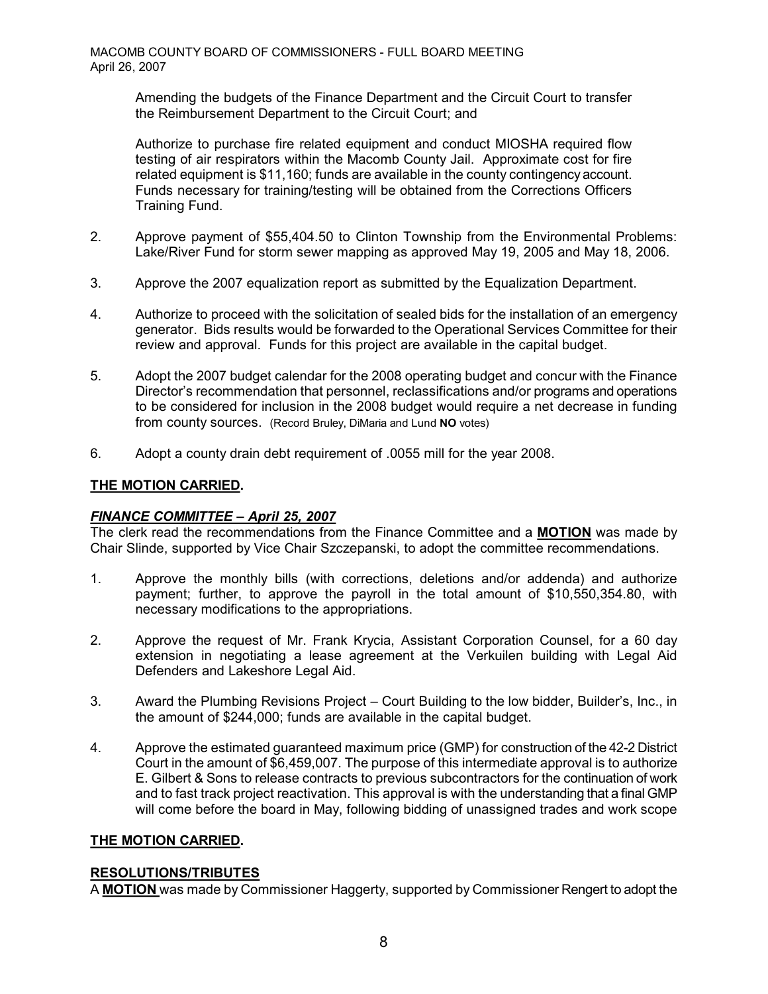Amending the budgets of the Finance Department and the Circuit Court to transfer the Reimbursement Department to the Circuit Court; and

Authorize to purchase fire related equipment and conduct MIOSHA required flow testing of air respirators within the Macomb County Jail. Approximate cost for fire related equipment is \$11,160; funds are available in the county contingency account. Funds necessary for training/testing will be obtained from the Corrections Officers Training Fund.

- 2. Approve payment of \$55,404.50 to Clinton Township from the Environmental Problems: Lake/River Fund for storm sewer mapping as approved May 19, 2005 and May 18, 2006.
- 3. Approve the 2007 equalization report as submitted by the Equalization Department.
- 4. Authorize to proceed with the solicitation of sealed bids for the installation of an emergency generator. Bids results would be forwarded to the Operational Services Committee for their review and approval. Funds for this project are available in the capital budget.
- 5. Adopt the 2007 budget calendar for the 2008 operating budget and concur with the Finance Director's recommendation that personnel, reclassifications and/or programs and operations to be considered for inclusion in the 2008 budget would require a net decrease in funding from county sources. (Record Bruley, DiMaria and Lund **NO** votes)
- 6. Adopt a county drain debt requirement of .0055 mill for the year 2008.

## **THE MOTION CARRIED.**

## *FINANCE COMMITTEE – April 25, 2007*

The clerk read the recommendations from the Finance Committee and a **MOTION** was made by Chair Slinde, supported by Vice Chair Szczepanski, to adopt the committee recommendations.

- 1. Approve the monthly bills (with corrections, deletions and/or addenda) and authorize payment; further, to approve the payroll in the total amount of \$10,550,354.80, with necessary modifications to the appropriations.
- 2. Approve the request of Mr. Frank Krycia, Assistant Corporation Counsel, for a 60 day extension in negotiating a lease agreement at the Verkuilen building with Legal Aid Defenders and Lakeshore Legal Aid.
- 3. Award the Plumbing Revisions Project Court Building to the low bidder, Builder's, Inc., in the amount of \$244,000; funds are available in the capital budget.
- 4. Approve the estimated guaranteed maximum price (GMP) for construction of the 422 District Court in the amount of \$6,459,007. The purpose of this intermediate approval is to authorize E. Gilbert & Sons to release contracts to previous subcontractors for the continuation of work and to fast track project reactivation. This approval is with the understanding that a final GMP will come before the board in May, following bidding of unassigned trades and work scope

## **THE MOTION CARRIED.**

## **RESOLUTIONS/TRIBUTES**

A **MOTION** was made by Commissioner Haggerty, supported by Commissioner Rengert to adopt the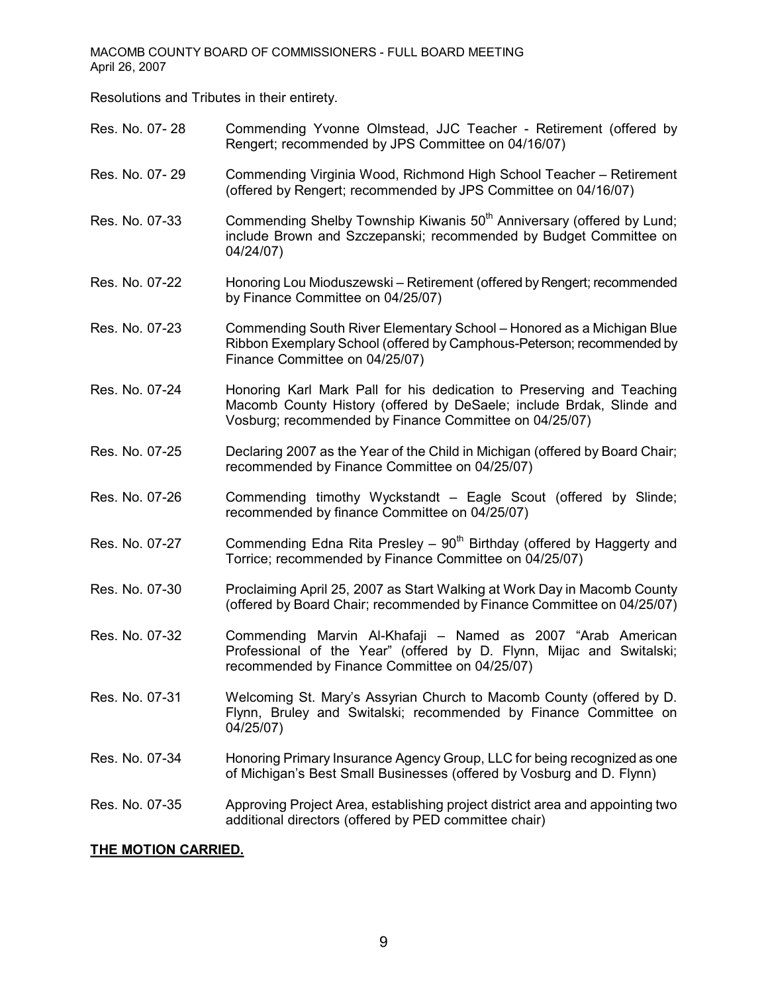MACOMB COUNTY BOARD OF COMMISSIONERS - FULL BOARD MEETING April 26, 2007

Resolutions and Tributes in their entirety.

| Res. No. 07-28 | Commending Yvonne Olmstead, JJC Teacher - Retirement (offered by<br>Rengert; recommended by JPS Committee on 04/16/07)                                                                                  |
|----------------|---------------------------------------------------------------------------------------------------------------------------------------------------------------------------------------------------------|
| Res. No. 07-29 | Commending Virginia Wood, Richmond High School Teacher - Retirement<br>(offered by Rengert; recommended by JPS Committee on 04/16/07)                                                                   |
| Res. No. 07-33 | Commending Shelby Township Kiwanis 50 <sup>th</sup> Anniversary (offered by Lund;<br>include Brown and Szczepanski; recommended by Budget Committee on<br>04/24/07)                                     |
| Res. No. 07-22 | Honoring Lou Mioduszewski - Retirement (offered by Rengert; recommended<br>by Finance Committee on 04/25/07)                                                                                            |
| Res. No. 07-23 | Commending South River Elementary School - Honored as a Michigan Blue<br>Ribbon Exemplary School (offered by Camphous-Peterson; recommended by<br>Finance Committee on 04/25/07)                        |
| Res. No. 07-24 | Honoring Karl Mark Pall for his dedication to Preserving and Teaching<br>Macomb County History (offered by DeSaele; include Brdak, Slinde and<br>Vosburg; recommended by Finance Committee on 04/25/07) |
| Res. No. 07-25 | Declaring 2007 as the Year of the Child in Michigan (offered by Board Chair;<br>recommended by Finance Committee on 04/25/07)                                                                           |
| Res. No. 07-26 | Commending timothy Wyckstandt - Eagle Scout (offered by Slinde;<br>recommended by finance Committee on 04/25/07)                                                                                        |
| Res. No. 07-27 | Commending Edna Rita Presley $-90th$ Birthday (offered by Haggerty and<br>Torrice; recommended by Finance Committee on 04/25/07)                                                                        |
| Res. No. 07-30 | Proclaiming April 25, 2007 as Start Walking at Work Day in Macomb County<br>(offered by Board Chair; recommended by Finance Committee on 04/25/07)                                                      |
| Res. No. 07-32 | Commending Marvin Al-Khafaji - Named as 2007 "Arab American<br>Professional of the Year" (offered by D. Flynn, Mijac and Switalski;<br>recommended by Finance Committee on 04/25/07)                    |
| Res. No. 07-31 | Welcoming St. Mary's Assyrian Church to Macomb County (offered by D.<br>Flynn, Bruley and Switalski; recommended by Finance Committee on<br>04/25/07)                                                   |
| Res. No. 07-34 | Honoring Primary Insurance Agency Group, LLC for being recognized as one<br>of Michigan's Best Small Businesses (offered by Vosburg and D. Flynn)                                                       |
| Res. No. 07-35 | Approving Project Area, establishing project district area and appointing two<br>additional directors (offered by PED committee chair)                                                                  |
|                |                                                                                                                                                                                                         |

## **THE MOTION CARRIED.**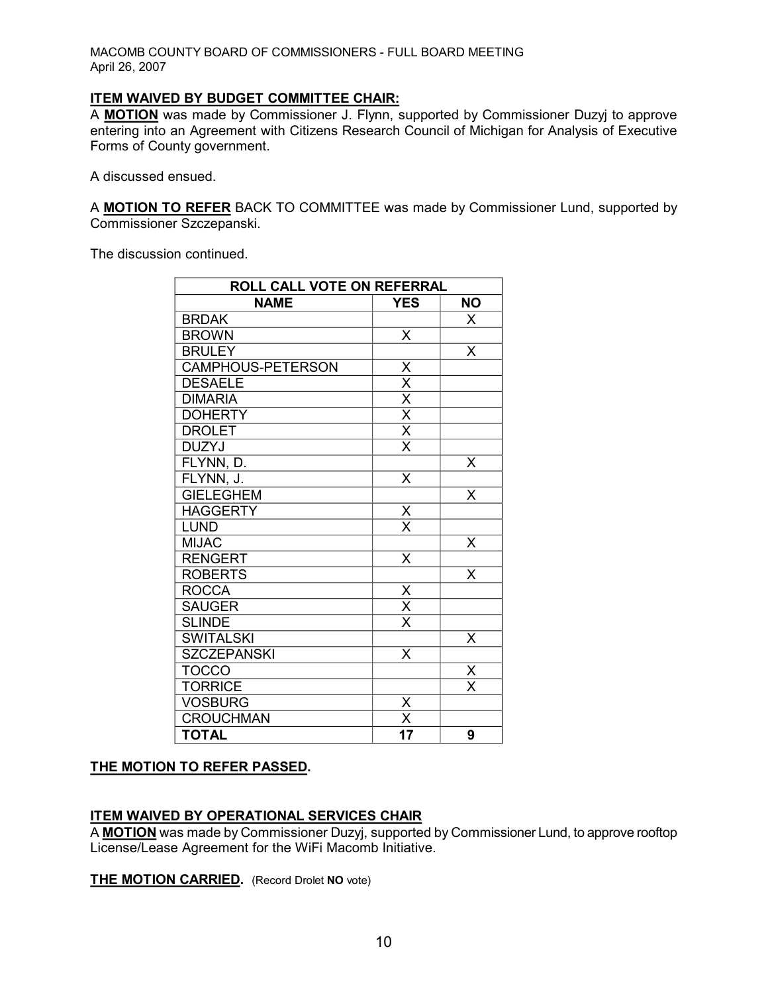MACOMB COUNTY BOARD OF COMMISSIONERS - FULL BOARD MEETING April 26, 2007

## **ITEM WAIVED BY BUDGET COMMITTEE CHAIR:**

A **MOTION** was made by Commissioner J. Flynn, supported by Commissioner Duzyj to approve entering into an Agreement with Citizens Research Council of Michigan for Analysis of Executive Forms of County government.

A discussed ensued.

A **MOTION TO REFER** BACK TO COMMITTEE was made by Commissioner Lund, supported by Commissioner Szczepanski.

The discussion continued.

| ROLL CALL VOTE ON REFERRAL |                                                                                  |                         |
|----------------------------|----------------------------------------------------------------------------------|-------------------------|
| <b>NAME</b>                | <b>YES</b>                                                                       | <b>NO</b>               |
| <b>BRDAK</b>               |                                                                                  | X                       |
| <b>BROWN</b>               | X                                                                                |                         |
| <b>BRULEY</b>              |                                                                                  | $\overline{\mathsf{x}}$ |
| CAMPHOUS-PETERSON          |                                                                                  |                         |
| <b>DESAELE</b>             | $\times$<br>$\times$<br>$\times$<br>$\times$<br>$\times$<br>$\times$<br>$\times$ |                         |
| <b>DIMARIA</b>             |                                                                                  |                         |
| <b>DOHERTY</b>             |                                                                                  |                         |
| <b>DROLET</b>              |                                                                                  |                         |
| <b>DUZYJ</b>               |                                                                                  |                         |
| FLYNN, D.                  |                                                                                  | X                       |
| FLYNN, J.                  | X                                                                                |                         |
| <b>GIELEGHEM</b>           |                                                                                  | X                       |
| <b>HAGGERTY</b>            | $\frac{\mathsf{X}}{\mathsf{X}}$                                                  |                         |
| <b>LUND</b>                |                                                                                  |                         |
| <b>MIJAC</b>               |                                                                                  | X                       |
| <b>RENGERT</b>             | X                                                                                |                         |
| <b>ROBERTS</b>             |                                                                                  | X                       |
| <b>ROCCA</b>               |                                                                                  |                         |
| <b>SAUGER</b>              | $\frac{x}{x}$                                                                    |                         |
| <b>SLINDE</b>              |                                                                                  |                         |
| <b>SWITALSKI</b>           |                                                                                  | X                       |
| <b>SZCZEPANSKI</b>         | X                                                                                |                         |
| <b>TOCCO</b>               |                                                                                  | X                       |
| <b>TORRICE</b>             |                                                                                  | $\overline{\mathsf{x}}$ |
| <b>VOSBURG</b>             | Χ                                                                                |                         |
| <b>CROUCHMAN</b>           | $\overline{\mathsf{x}}$                                                          |                         |
| <b>TOTAL</b>               | 17                                                                               | 9                       |

## **THE MOTION TO REFER PASSED.**

#### **ITEM WAIVED BY OPERATIONAL SERVICES CHAIR**

A **MOTION** was made by Commissioner Duzyj, supported by Commissioner Lund, to approve rooftop License/Lease Agreement for the WiFi Macomb Initiative.

**THE MOTION CARRIED.** (Record Drolet **NO** vote)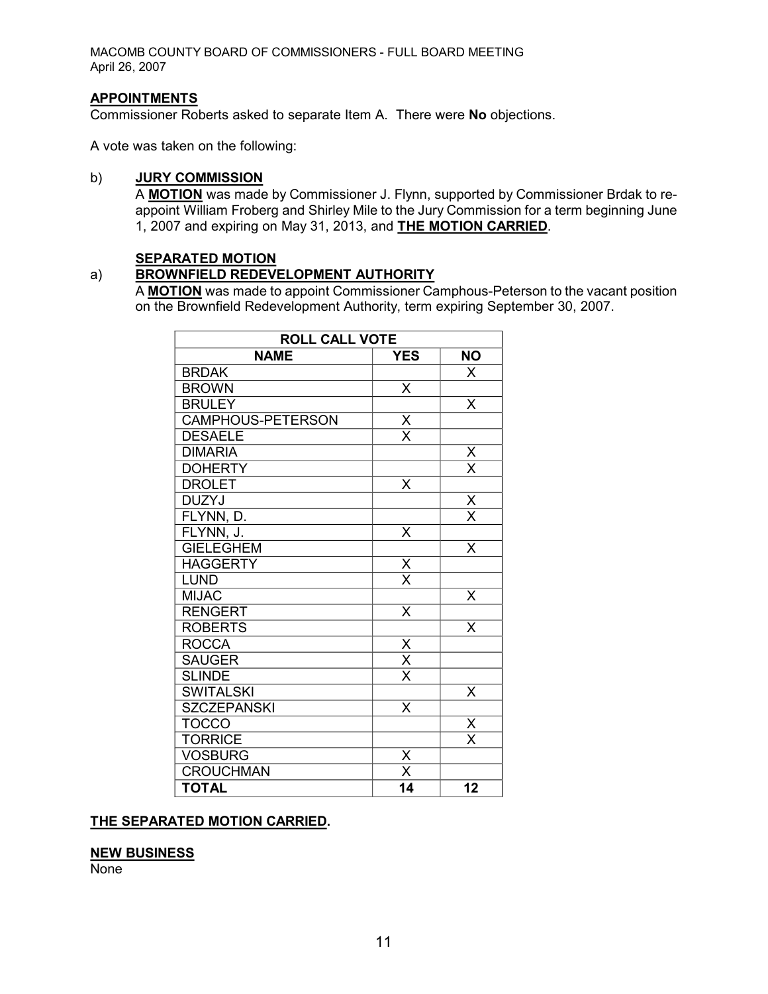MACOMB COUNTY BOARD OF COMMISSIONERS FULL BOARD MEETING April 26, 2007

## **APPOINTMENTS**

Commissioner Roberts asked to separate Item A. There were **No** objections.

A vote was taken on the following:

### b) **JURY COMMISSION**

A **MOTION** was made by Commissioner J. Flynn, supported by Commissioner Brdak to re appoint William Froberg and Shirley Mile to the Jury Commission for a term beginning June 1, 2007 and expiring on May 31, 2013, and **THE MOTION CARRIED**.

#### **SEPARATED MOTION**

## a) **BROWNFIELD REDEVELOPMENT AUTHORITY**

A MOTION was made to appoint Commissioner Camphous-Peterson to the vacant position on the Brownfield Redevelopment Authority, term expiring September 30, 2007.

| <b>ROLL CALL VOTE</b> |                                 |                                     |
|-----------------------|---------------------------------|-------------------------------------|
| <b>NAME</b>           | <b>YES</b>                      | <b>NO</b>                           |
| <b>BRDAK</b>          |                                 | X                                   |
| <b>BROWN</b>          | X                               |                                     |
| <b>BRULEY</b>         |                                 | X                                   |
| CAMPHOUS-PETERSON     | $\frac{\mathsf{X}}{\mathsf{X}}$ |                                     |
| <b>DESAELE</b>        |                                 |                                     |
| <b>DIMARIA</b>        |                                 | $\frac{\overline{x}}{\overline{x}}$ |
| <b>DOHERTY</b>        |                                 |                                     |
| <b>DROLET</b>         | X                               |                                     |
| <b>DUZYJ</b>          |                                 | $\frac{x}{x}$                       |
| FLYNN, D.             |                                 |                                     |
| FLYNN, J.             | Χ                               |                                     |
| <b>GIELEGHEM</b>      |                                 | X                                   |
| <b>HAGGERTY</b>       | $\frac{\mathsf{x}}{\mathsf{x}}$ |                                     |
| <b>LUND</b>           |                                 |                                     |
| <b>MIJAC</b>          |                                 | X                                   |
| <b>RENGERT</b>        | X                               |                                     |
| <b>ROBERTS</b>        |                                 | X                                   |
| <b>ROCCA</b>          |                                 |                                     |
| <b>SAUGER</b>         | $\frac{X}{X}$                   |                                     |
| <b>SLINDE</b>         |                                 |                                     |
| <b>SWITALSKI</b>      |                                 | X                                   |
| <b>SZCZEPANSKI</b>    | X                               |                                     |
| <b>TOCCO</b>          |                                 | $\frac{\mathsf{x}}{\mathsf{x}}$     |
| <b>TORRICE</b>        |                                 |                                     |
| <b>VOSBURG</b>        |                                 |                                     |
| <b>CROUCHMAN</b>      | $\frac{x}{x}$                   |                                     |
| <b>TOTAL</b>          | 14                              | 12                                  |

#### **THE SEPARATED MOTION CARRIED.**

#### **NEW BUSINESS**

None